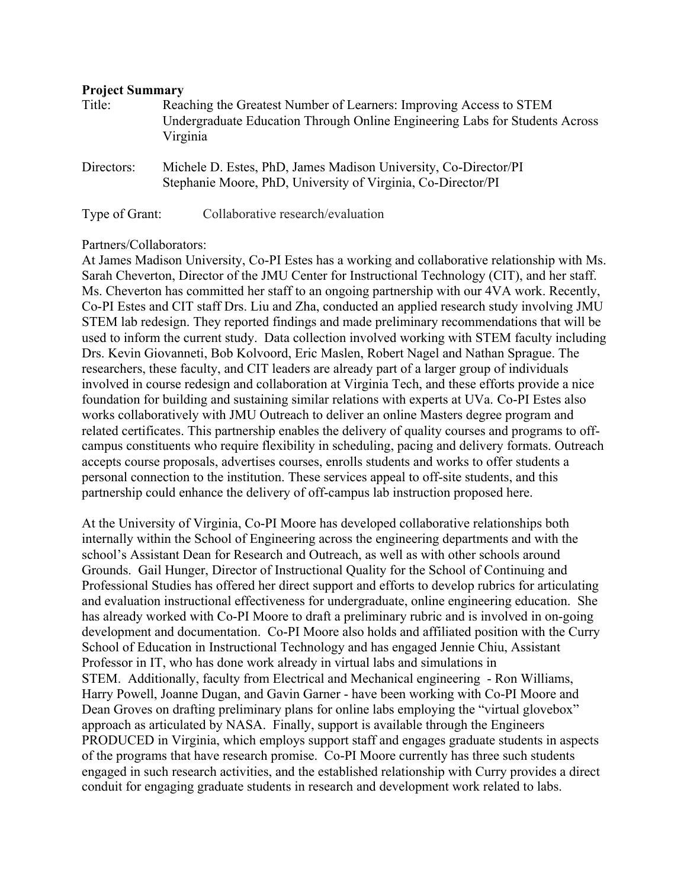### **Project Summary**

| Title:     | Reaching the Greatest Number of Learners: Improving Access to STEM<br>Undergraduate Education Through Online Engineering Labs for Students Across<br>Virginia |
|------------|---------------------------------------------------------------------------------------------------------------------------------------------------------------|
| Directors: | Michele D. Estes, PhD, James Madison University, Co-Director/PI<br>Stephanie Moore, PhD, University of Virginia, Co-Director/PI                               |

Type of Grant: Collaborative research/evaluation

## Partners/Collaborators:

At James Madison University, Co-PI Estes has a working and collaborative relationship with Ms. Sarah Cheverton, Director of the JMU Center for Instructional Technology (CIT), and her staff. Ms. Cheverton has committed her staff to an ongoing partnership with our 4VA work. Recently, Co-PI Estes and CIT staff Drs. Liu and Zha, conducted an applied research study involving JMU STEM lab redesign. They reported findings and made preliminary recommendations that will be used to inform the current study. Data collection involved working with STEM faculty including Drs. Kevin Giovanneti, Bob Kolvoord, Eric Maslen, Robert Nagel and Nathan Sprague. The researchers, these faculty, and CIT leaders are already part of a larger group of individuals involved in course redesign and collaboration at Virginia Tech, and these efforts provide a nice foundation for building and sustaining similar relations with experts at UVa. Co-PI Estes also works collaboratively with JMU Outreach to deliver an online Masters degree program and related certificates. This partnership enables the delivery of quality courses and programs to offcampus constituents who require flexibility in scheduling, pacing and delivery formats. Outreach accepts course proposals, advertises courses, enrolls students and works to offer students a personal connection to the institution. These services appeal to off-site students, and this partnership could enhance the delivery of off-campus lab instruction proposed here.

At the University of Virginia, Co-PI Moore has developed collaborative relationships both internally within the School of Engineering across the engineering departments and with the school's Assistant Dean for Research and Outreach, as well as with other schools around Grounds. Gail Hunger, Director of Instructional Quality for the School of Continuing and Professional Studies has offered her direct support and efforts to develop rubrics for articulating and evaluation instructional effectiveness for undergraduate, online engineering education. She has already worked with Co-PI Moore to draft a preliminary rubric and is involved in on-going development and documentation. Co-PI Moore also holds and affiliated position with the Curry School of Education in Instructional Technology and has engaged Jennie Chiu, Assistant Professor in IT, who has done work already in virtual labs and simulations in STEM. Additionally, faculty from Electrical and Mechanical engineering - Ron Williams, Harry Powell, Joanne Dugan, and Gavin Garner - have been working with Co-PI Moore and Dean Groves on drafting preliminary plans for online labs employing the "virtual glovebox" approach as articulated by NASA. Finally, support is available through the Engineers PRODUCED in Virginia, which employs support staff and engages graduate students in aspects of the programs that have research promise. Co-PI Moore currently has three such students engaged in such research activities, and the established relationship with Curry provides a direct conduit for engaging graduate students in research and development work related to labs.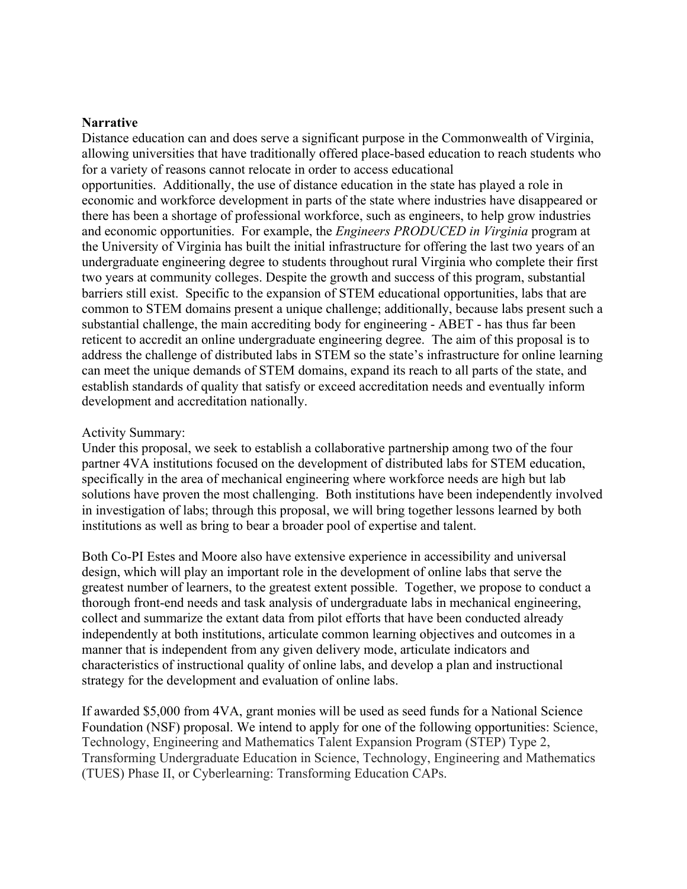#### **Narrative**

Distance education can and does serve a significant purpose in the Commonwealth of Virginia, allowing universities that have traditionally offered place-based education to reach students who for a variety of reasons cannot relocate in order to access educational opportunities. Additionally, the use of distance education in the state has played a role in economic and workforce development in parts of the state where industries have disappeared or there has been a shortage of professional workforce, such as engineers, to help grow industries and economic opportunities. For example, the *Engineers PRODUCED in Virginia* program at the University of Virginia has built the initial infrastructure for offering the last two years of an undergraduate engineering degree to students throughout rural Virginia who complete their first two years at community colleges. Despite the growth and success of this program, substantial barriers still exist. Specific to the expansion of STEM educational opportunities, labs that are common to STEM domains present a unique challenge; additionally, because labs present such a substantial challenge, the main accrediting body for engineering - ABET - has thus far been reticent to accredit an online undergraduate engineering degree. The aim of this proposal is to address the challenge of distributed labs in STEM so the state's infrastructure for online learning can meet the unique demands of STEM domains, expand its reach to all parts of the state, and establish standards of quality that satisfy or exceed accreditation needs and eventually inform development and accreditation nationally.

#### Activity Summary:

Under this proposal, we seek to establish a collaborative partnership among two of the four partner 4VA institutions focused on the development of distributed labs for STEM education, specifically in the area of mechanical engineering where workforce needs are high but lab solutions have proven the most challenging. Both institutions have been independently involved in investigation of labs; through this proposal, we will bring together lessons learned by both institutions as well as bring to bear a broader pool of expertise and talent.

Both Co-PI Estes and Moore also have extensive experience in accessibility and universal design, which will play an important role in the development of online labs that serve the greatest number of learners, to the greatest extent possible. Together, we propose to conduct a thorough front-end needs and task analysis of undergraduate labs in mechanical engineering, collect and summarize the extant data from pilot efforts that have been conducted already independently at both institutions, articulate common learning objectives and outcomes in a manner that is independent from any given delivery mode, articulate indicators and characteristics of instructional quality of online labs, and develop a plan and instructional strategy for the development and evaluation of online labs.

If awarded \$5,000 from 4VA, grant monies will be used as seed funds for a National Science Foundation (NSF) proposal. We intend to apply for one of the following opportunities: Science, Technology, Engineering and Mathematics Talent Expansion Program (STEP) Type 2, Transforming Undergraduate Education in Science, Technology, Engineering and Mathematics (TUES) Phase II, or Cyberlearning: Transforming Education CAPs.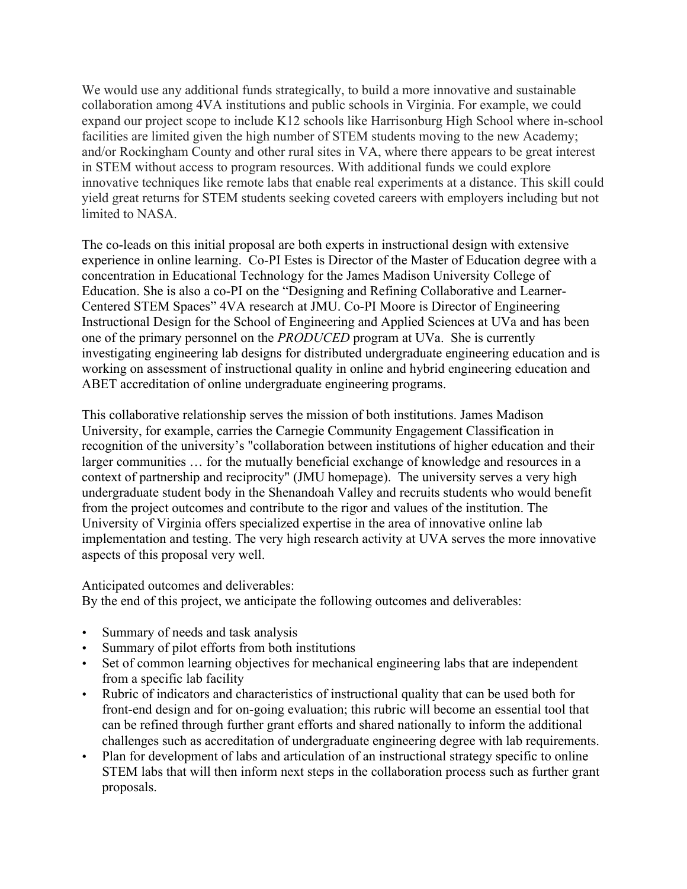We would use any additional funds strategically, to build a more innovative and sustainable collaboration among 4VA institutions and public schools in Virginia. For example, we could expand our project scope to include K12 schools like Harrisonburg High School where in-school facilities are limited given the high number of STEM students moving to the new Academy; and/or Rockingham County and other rural sites in VA, where there appears to be great interest in STEM without access to program resources. With additional funds we could explore innovative techniques like remote labs that enable real experiments at a distance. This skill could yield great returns for STEM students seeking coveted careers with employers including but not limited to NASA.

The co-leads on this initial proposal are both experts in instructional design with extensive experience in online learning. Co-PI Estes is Director of the Master of Education degree with a concentration in Educational Technology for the James Madison University College of Education. She is also a co-PI on the "Designing and Refining Collaborative and Learner-Centered STEM Spaces" 4VA research at JMU. Co-PI Moore is Director of Engineering Instructional Design for the School of Engineering and Applied Sciences at UVa and has been one of the primary personnel on the *PRODUCED* program at UVa. She is currently investigating engineering lab designs for distributed undergraduate engineering education and is working on assessment of instructional quality in online and hybrid engineering education and ABET accreditation of online undergraduate engineering programs.

This collaborative relationship serves the mission of both institutions. James Madison University, for example, carries the Carnegie Community Engagement Classification in recognition of the university's "collaboration between institutions of higher education and their larger communities … for the mutually beneficial exchange of knowledge and resources in a context of partnership and reciprocity" (JMU homepage). The university serves a very high undergraduate student body in the Shenandoah Valley and recruits students who would benefit from the project outcomes and contribute to the rigor and values of the institution. The University of Virginia offers specialized expertise in the area of innovative online lab implementation and testing. The very high research activity at UVA serves the more innovative aspects of this proposal very well.

Anticipated outcomes and deliverables:

By the end of this project, we anticipate the following outcomes and deliverables:

- Summary of needs and task analysis
- Summary of pilot efforts from both institutions
- Set of common learning objectives for mechanical engineering labs that are independent from a specific lab facility
- Rubric of indicators and characteristics of instructional quality that can be used both for front-end design and for on-going evaluation; this rubric will become an essential tool that can be refined through further grant efforts and shared nationally to inform the additional challenges such as accreditation of undergraduate engineering degree with lab requirements.
- Plan for development of labs and articulation of an instructional strategy specific to online STEM labs that will then inform next steps in the collaboration process such as further grant proposals.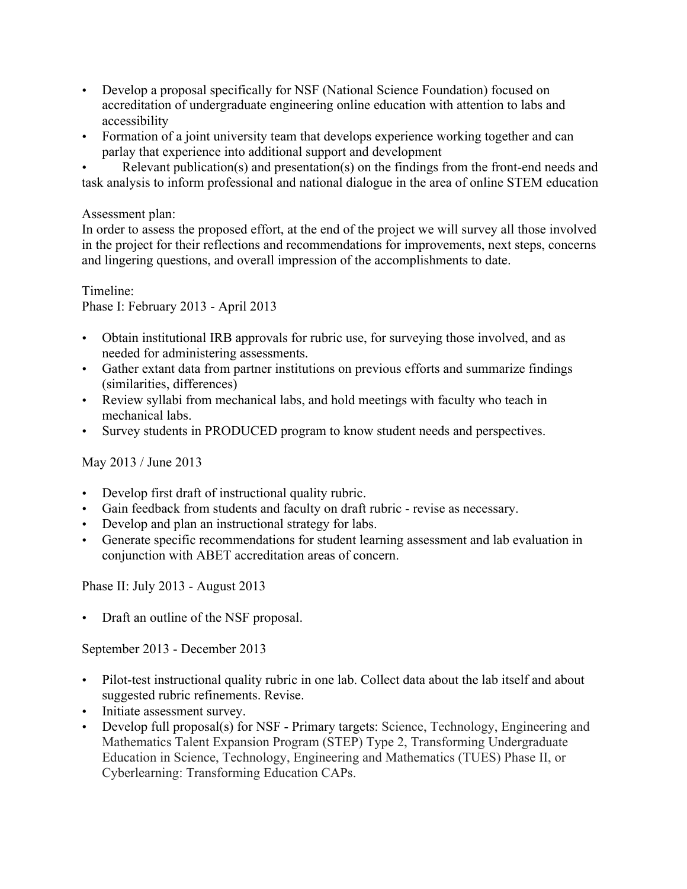- Develop a proposal specifically for NSF (National Science Foundation) focused on accreditation of undergraduate engineering online education with attention to labs and accessibility
- Formation of a joint university team that develops experience working together and can parlay that experience into additional support and development

• Relevant publication(s) and presentation(s) on the findings from the front-end needs and task analysis to inform professional and national dialogue in the area of online STEM education

Assessment plan:

In order to assess the proposed effort, at the end of the project we will survey all those involved in the project for their reflections and recommendations for improvements, next steps, concerns and lingering questions, and overall impression of the accomplishments to date.

Timeline: Phase I: February 2013 - April 2013

- Obtain institutional IRB approvals for rubric use, for surveying those involved, and as needed for administering assessments.
- Gather extant data from partner institutions on previous efforts and summarize findings (similarities, differences)
- Review syllabi from mechanical labs, and hold meetings with faculty who teach in mechanical labs.
- Survey students in PRODUCED program to know student needs and perspectives.

May 2013 / June 2013

- Develop first draft of instructional quality rubric.
- Gain feedback from students and faculty on draft rubric revise as necessary.
- Develop and plan an instructional strategy for labs.
- Generate specific recommendations for student learning assessment and lab evaluation in conjunction with ABET accreditation areas of concern.

Phase II: July 2013 - August 2013

• Draft an outline of the NSF proposal.

September 2013 - December 2013

- Pilot-test instructional quality rubric in one lab. Collect data about the lab itself and about suggested rubric refinements. Revise.
- Initiate assessment survey.
- Develop full proposal(s) for NSF Primary targets: Science, Technology, Engineering and Mathematics Talent Expansion Program (STEP) Type 2, Transforming Undergraduate Education in Science, Technology, Engineering and Mathematics (TUES) Phase II, or Cyberlearning: Transforming Education CAPs.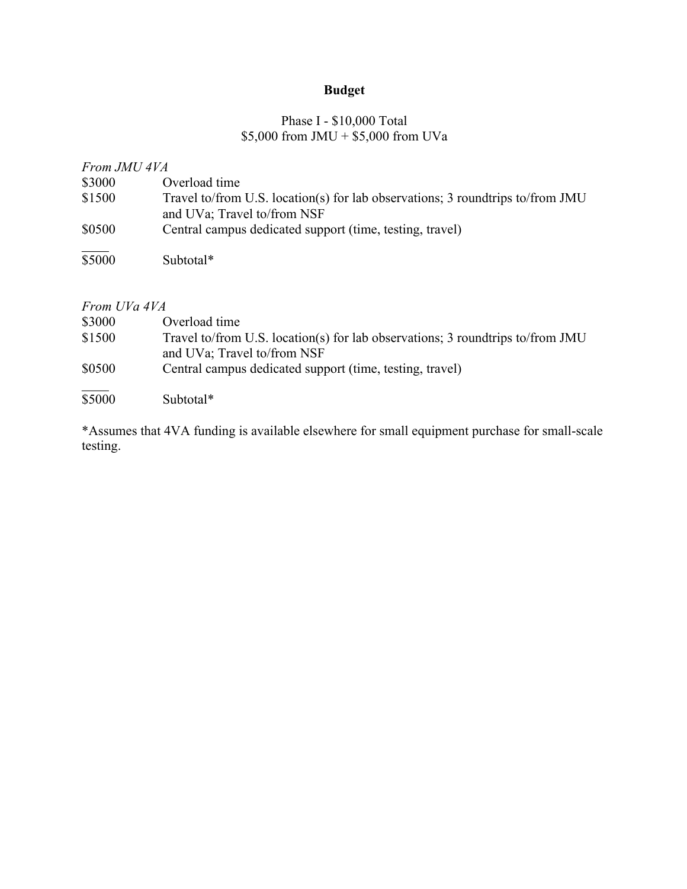# **Budget**

## Phase I - \$10,000 Total \$5,000 from JMU + \$5,000 from UVa

# *From JMU 4VA*

| \$3000            | Overload time                                                                  |
|-------------------|--------------------------------------------------------------------------------|
| \$1500            | Travel to/from U.S. location(s) for lab observations; 3 roundtrips to/from JMU |
|                   | and UVa; Travel to/from NSF                                                    |
| \$0500            | Central campus dedicated support (time, testing, travel)                       |
|                   |                                                                                |
| $\overline{$}500$ | Subtotal*                                                                      |

## *From UVa 4VA*

| \$3000             | Overload time                                                                                                 |
|--------------------|---------------------------------------------------------------------------------------------------------------|
| \$1500             | Travel to/from U.S. location(s) for lab observations; 3 roundtrips to/from JMU<br>and UVa; Travel to/from NSF |
| \$0500             | Central campus dedicated support (time, testing, travel)                                                      |
| $\overline{$}5000$ | Subtotal*                                                                                                     |

\*Assumes that 4VA funding is available elsewhere for small equipment purchase for small-scale testing.